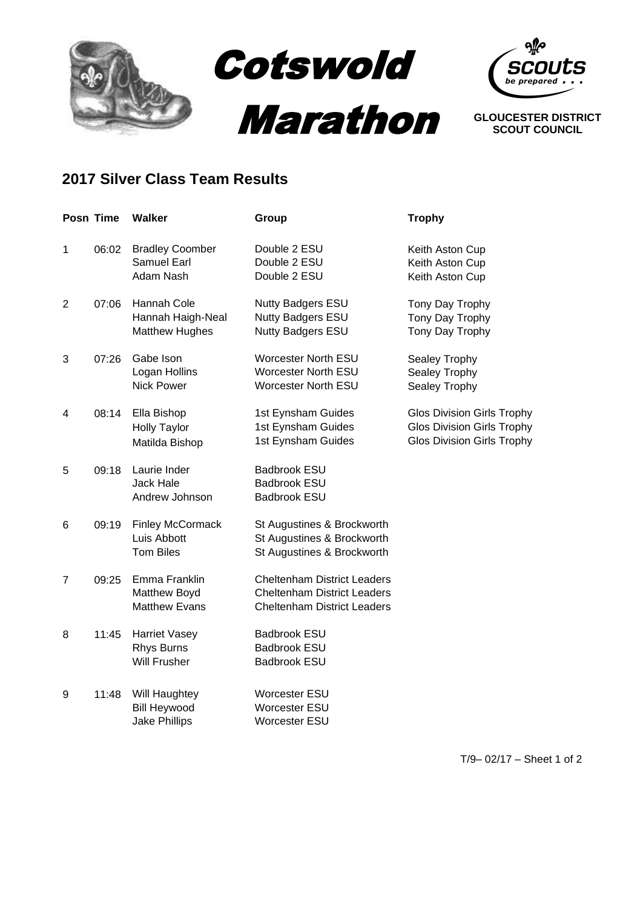



**SCOUT COUNCIL**

## **2017 Silver Class Team Results**

|                | Posn Time | <b>Walker</b>                                                | Group                                                                                                          | <b>Trophy</b>                                                                                        |
|----------------|-----------|--------------------------------------------------------------|----------------------------------------------------------------------------------------------------------------|------------------------------------------------------------------------------------------------------|
| 1              | 06:02     | <b>Bradley Coomber</b><br>Samuel Earl<br>Adam Nash           | Double 2 ESU<br>Double 2 ESU<br>Double 2 ESU                                                                   | Keith Aston Cup<br>Keith Aston Cup<br>Keith Aston Cup                                                |
| $\overline{2}$ | 07:06     | Hannah Cole<br>Hannah Haigh-Neal<br><b>Matthew Hughes</b>    | Nutty Badgers ESU<br><b>Nutty Badgers ESU</b><br>Nutty Badgers ESU                                             | Tony Day Trophy<br>Tony Day Trophy<br>Tony Day Trophy                                                |
| 3              | 07:26     | Gabe Ison<br>Logan Hollins<br><b>Nick Power</b>              | <b>Worcester North ESU</b><br><b>Worcester North ESU</b><br><b>Worcester North ESU</b>                         | Sealey Trophy<br>Sealey Trophy<br>Sealey Trophy                                                      |
| 4              | 08:14     | Ella Bishop<br><b>Holly Taylor</b><br>Matilda Bishop         | 1st Eynsham Guides<br>1st Eynsham Guides<br>1st Eynsham Guides                                                 | <b>Glos Division Girls Trophy</b><br>Glos Division Girls Trophy<br><b>Glos Division Girls Trophy</b> |
| 5              | 09:18     | Laurie Inder<br><b>Jack Hale</b><br>Andrew Johnson           | <b>Badbrook ESU</b><br><b>Badbrook ESU</b><br><b>Badbrook ESU</b>                                              |                                                                                                      |
| 6              | 09:19     | <b>Finley McCormack</b><br>Luis Abbott<br><b>Tom Biles</b>   | St Augustines & Brockworth<br>St Augustines & Brockworth<br>St Augustines & Brockworth                         |                                                                                                      |
| 7              | 09:25     | Emma Franklin<br>Matthew Boyd<br><b>Matthew Evans</b>        | <b>Cheltenham District Leaders</b><br><b>Cheltenham District Leaders</b><br><b>Cheltenham District Leaders</b> |                                                                                                      |
| 8              | 11:45     | <b>Harriet Vasey</b><br>Rhys Burns<br><b>Will Frusher</b>    | <b>Badbrook ESU</b><br><b>Badbrook ESU</b><br><b>Badbrook ESU</b>                                              |                                                                                                      |
| 9              | 11:48     | Will Haughtey<br><b>Bill Heywood</b><br><b>Jake Phillips</b> | <b>Worcester ESU</b><br>Worcester ESU<br><b>Worcester ESU</b>                                                  |                                                                                                      |

T/9– 02/17 – Sheet 1 of 2